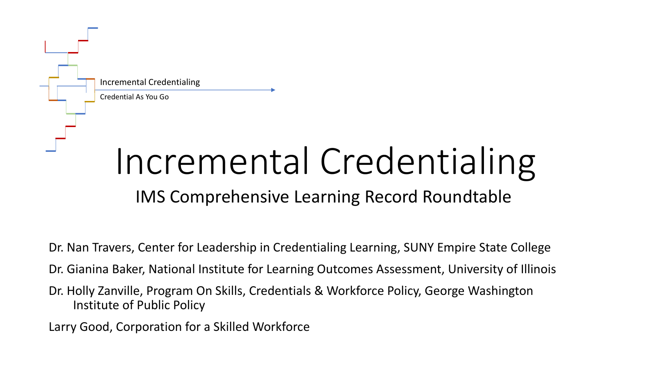

# Incremental Credentialing

#### IMS Comprehensive Learning Record Roundtable

Dr. Nan Travers, Center for Leadership in Credentialing Learning, SUNY Empire State College

Dr. Gianina Baker, National Institute for Learning Outcomes Assessment, University of Illinois

Dr. Holly Zanville, Program On Skills, Credentials & Workforce Policy, George Washington Institute of Public Policy

Larry Good, Corporation for a Skilled Workforce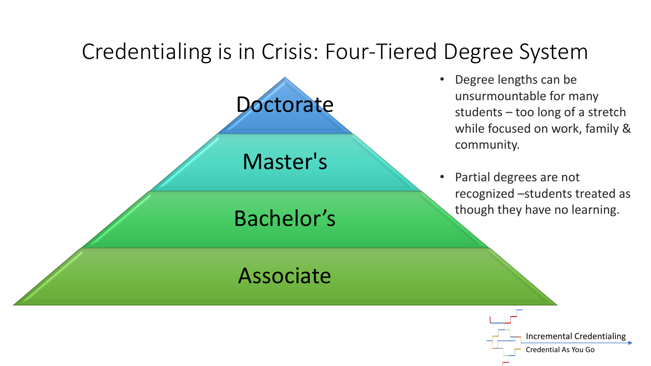### Credentialing is in Crisis: Four-Tiered Degree System

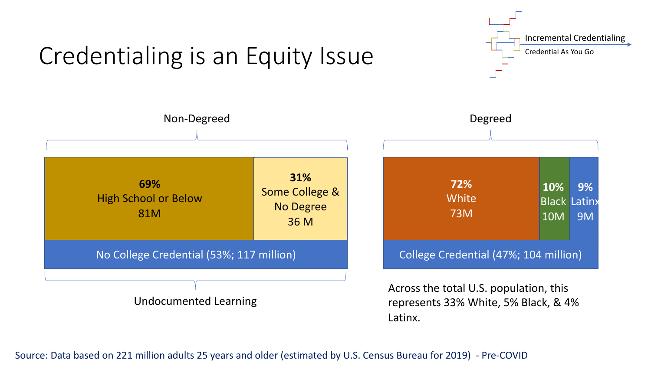

## Credentialing is an Equity Issue

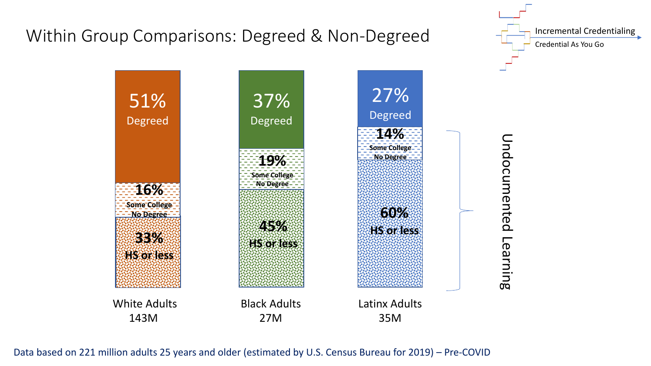

Data based on 221 million adults 25 years and older (estimated by U.S. Census Bureau for 2019) – Pre-COVID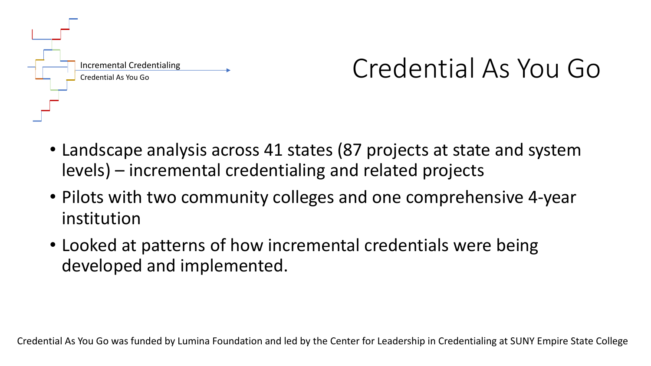

## Credential As You Go

- Landscape analysis across 41 states (87 projects at state and system levels) – incremental credentialing and related projects
- Pilots with two community colleges and one comprehensive 4-year institution
- Looked at patterns of how incremental credentials were being developed and implemented.